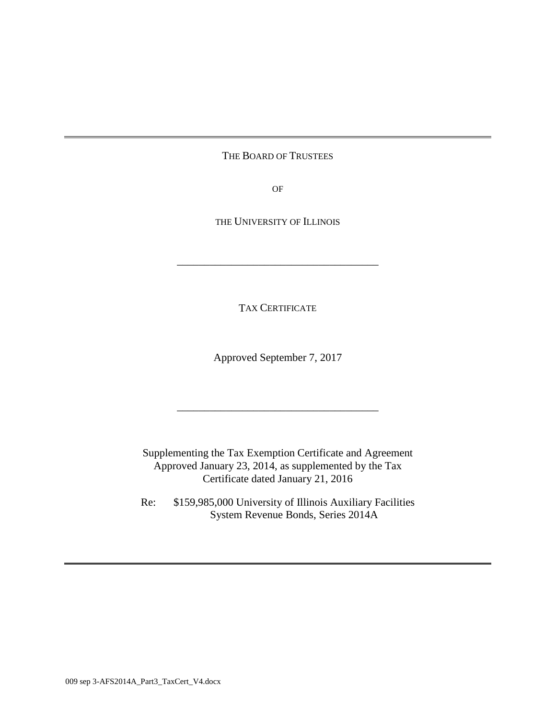# THE BOARD OF TRUSTEES

OF

THE UNIVERSITY OF ILLINOIS

\_\_\_\_\_\_\_\_\_\_\_\_\_\_\_\_\_\_\_\_\_\_\_\_\_\_\_\_\_\_\_\_\_\_\_\_\_

TAX CERTIFICATE

Approved September 7, 2017

\_\_\_\_\_\_\_\_\_\_\_\_\_\_\_\_\_\_\_\_\_\_\_\_\_\_\_\_\_\_\_\_\_\_\_\_\_

Supplementing the Tax Exemption Certificate and Agreement Approved January 23, 2014, as supplemented by the Tax Certificate dated January 21, 2016

Re: \$159,985,000 University of Illinois Auxiliary Facilities System Revenue Bonds, Series 2014A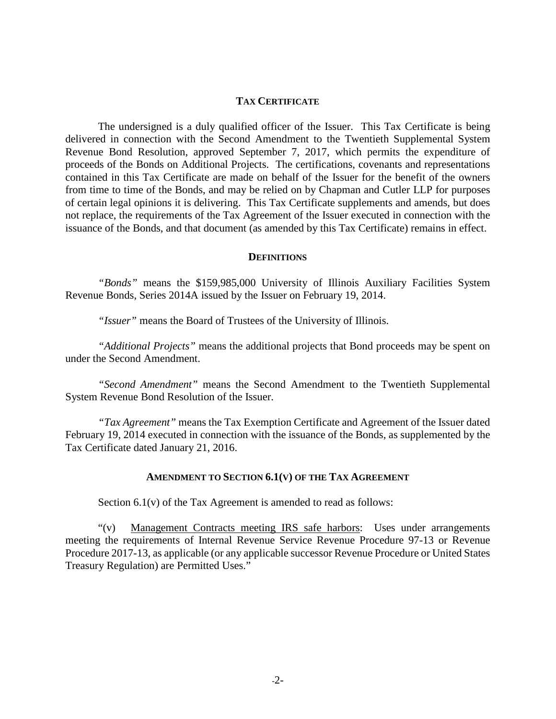#### **TAX CERTIFICATE**

The undersigned is a duly qualified officer of the Issuer. This Tax Certificate is being delivered in connection with the Second Amendment to the Twentieth Supplemental System Revenue Bond Resolution, approved September 7, 2017, which permits the expenditure of proceeds of the Bonds on Additional Projects. The certifications, covenants and representations contained in this Tax Certificate are made on behalf of the Issuer for the benefit of the owners from time to time of the Bonds, and may be relied on by Chapman and Cutler LLP for purposes of certain legal opinions it is delivering. This Tax Certificate supplements and amends, but does not replace, the requirements of the Tax Agreement of the Issuer executed in connection with the issuance of the Bonds, and that document (as amended by this Tax Certificate) remains in effect.

#### **DEFINITIONS**

*"Bonds"* means the \$159,985,000 University of Illinois Auxiliary Facilities System Revenue Bonds, Series 2014A issued by the Issuer on February 19, 2014.

*"Issuer"* means the Board of Trustees of the University of Illinois.

*"Additional Projects"* means the additional projects that Bond proceeds may be spent on under the Second Amendment.

*"Second Amendment"* means the Second Amendment to the Twentieth Supplemental System Revenue Bond Resolution of the Issuer.

*"Tax Agreement"* means the Tax Exemption Certificate and Agreement of the Issuer dated February 19, 2014 executed in connection with the issuance of the Bonds, as supplemented by the Tax Certificate dated January 21, 2016.

#### **AMENDMENT TO SECTION 6.1(V) OF THE TAX AGREEMENT**

Section 6.1(v) of the Tax Agreement is amended to read as follows:

"(v) Management Contracts meeting IRS safe harbors: Uses under arrangements meeting the requirements of Internal Revenue Service Revenue Procedure 97-13 or Revenue Procedure 2017-13, as applicable (or any applicable successor Revenue Procedure or United States Treasury Regulation) are Permitted Uses."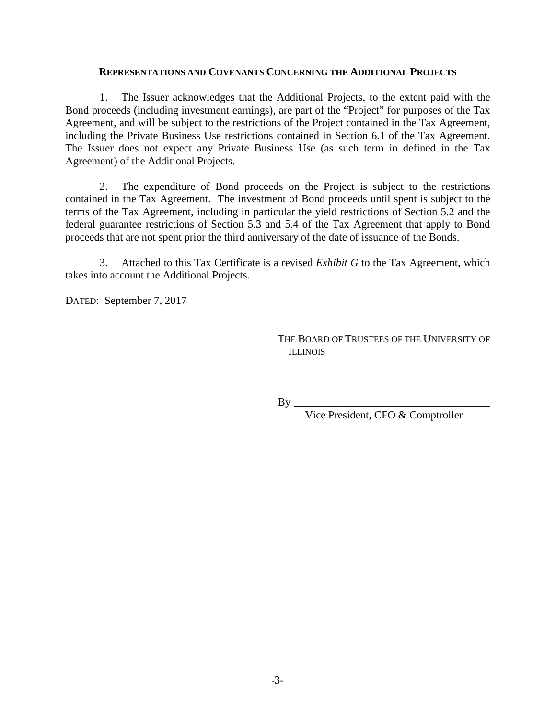### **REPRESENTATIONS AND COVENANTS CONCERNING THE ADDITIONAL PROJECTS**

1. The Issuer acknowledges that the Additional Projects, to the extent paid with the Bond proceeds (including investment earnings), are part of the "Project" for purposes of the Tax Agreement, and will be subject to the restrictions of the Project contained in the Tax Agreement, including the Private Business Use restrictions contained in Section 6.1 of the Tax Agreement. The Issuer does not expect any Private Business Use (as such term in defined in the Tax Agreement) of the Additional Projects.

2. The expenditure of Bond proceeds on the Project is subject to the restrictions contained in the Tax Agreement. The investment of Bond proceeds until spent is subject to the terms of the Tax Agreement, including in particular the yield restrictions of Section 5.2 and the federal guarantee restrictions of Section 5.3 and 5.4 of the Tax Agreement that apply to Bond proceeds that are not spent prior the third anniversary of the date of issuance of the Bonds.

3. Attached to this Tax Certificate is a revised *Exhibit G* to the Tax Agreement, which takes into account the Additional Projects.

DATED: September 7, 2017

THE BOARD OF TRUSTEES OF THE UNIVERSITY OF **ILLINOIS** 

 $By \_$ 

Vice President, CFO & Comptroller